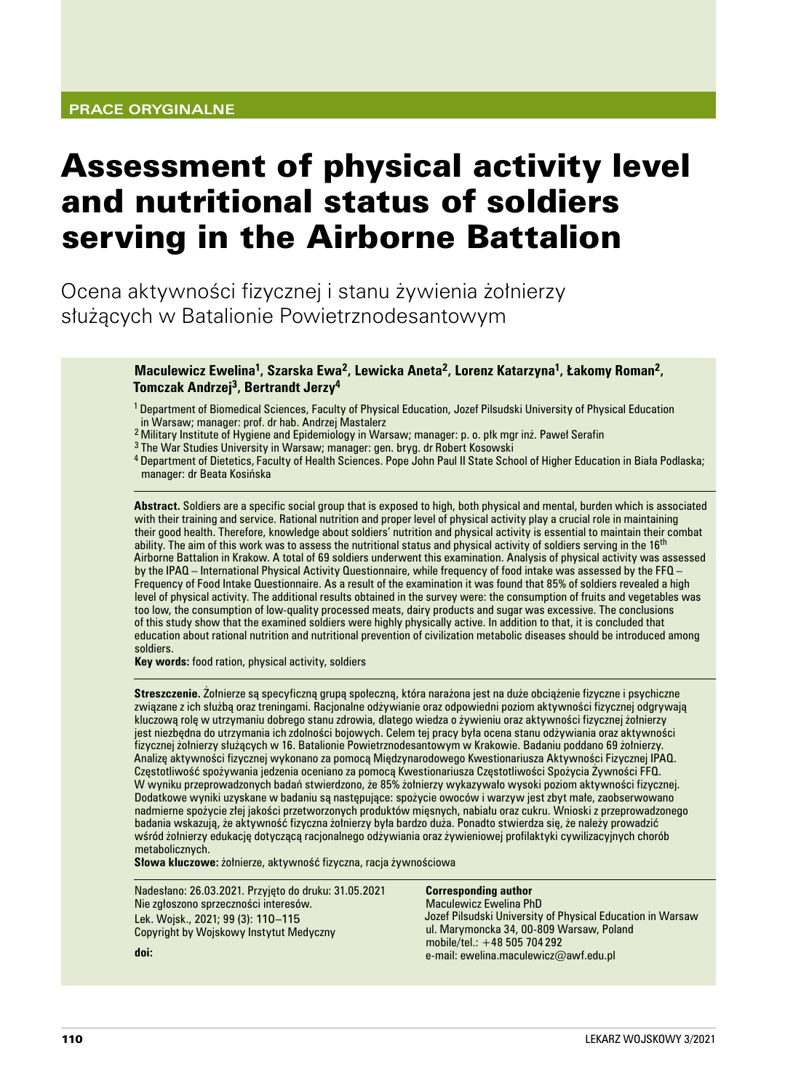# Assessment of physical activity level and nutritional status of soldiers serving in the Airborne Battalion

Ocena aktywności fizycznej i stanu żywienia żołnierzy służących w Batalionie Powietrznodesantowym

# **Maculewicz Ewelina1, Szarska Ewa2, Lewicka Aneta2, Lorenz Katarzyna1, Łakomy Roman2, Tomczak Andrzej3, Bertrandt Jerzy<sup>4</sup>**

1 Department of Biomedical Sciences, Faculty of Physical Education, Jozef Pilsudski University of Physical Education in Warsaw; manager: prof. dr hab. Andrzej Mastalerz

<sup>2</sup>Military Institute of Hygiene and Epidemiology in Warsaw; manager: p. o. płk mgr inż. Paweł Serafin

<sup>3</sup> The War Studies University in Warsaw; manager: gen. bryg. dr Robert Kosowski

4 Department of Dietetics, Faculty of Health Sciences. Pope John Paul II State School of Higher Education in Biała Podlaska; manager: dr Beata Kosińska

**Abstract.** Soldiers are a specific social group that is exposed to high, both physical and mental, burden which is associated with their training and service. Rational nutrition and proper level of physical activity play a crucial role in maintaining their good health. Therefore, knowledge about soldiers' nutrition and physical activity is essential to maintain their combat ability. The aim of this work was to assess the nutritional status and physical activity of soldiers serving in the 16<sup>th</sup> Airborne Battalion in Krakow. A total of 69 soldiers underwent this examination. Analysis of physical activity was assessed by the IPAQ – International Physical Activity Questionnaire, while frequency of food intake was assessed by the FFQ – Frequency of Food Intake Questionnaire. As a result of the examination it was found that 85% of soldiers revealed a high level of physical activity. The additional results obtained in the survey were: the consumption of fruits and vegetables was too low, the consumption of low‑quality processed meats, dairy products and sugar was excessive. The conclusions of this study show that the examined soldiers were highly physically active. In addition to that, it is concluded that education about rational nutrition and nutritional prevention of civilization metabolic diseases should be introduced among soldiers.

**Key words:** food ration, physical activity, soldiers

**Streszczenie.** Żołnierze są specyficzną grupą społeczną, która narażona jest na duże obciążenie fizyczne i psychiczne związane z ich służbą oraz treningami. Racjonalne odżywianie oraz odpowiedni poziom aktywności fizycznej odgrywają kluczową rolę w utrzymaniu dobrego stanu zdrowia, dlatego wiedza o żywieniu oraz aktywności fizycznej żołnierzy jest niezbędna do utrzymania ich zdolności bojowych. Celem tej pracy była ocena stanu odżywiania oraz aktywności fizycznej żołnierzy służących w 16. Batalionie Powietrznodesantowym w Krakowie. Badaniu poddano 69 żołnierzy. Analizę aktywności fizycznej wykonano za pomocą Międzynarodowego Kwestionariusza Aktywności Fizycznej IPAQ. Częstotliwość spożywania jedzenia oceniano za pomocą Kwestionariusza Częstotliwości Spożycia Żywności FFQ. W wyniku przeprowadzonych badań stwierdzono, że 85% żołnierzy wykazywało wysoki poziom aktywności fizycznej. Dodatkowe wyniki uzyskane w badaniu są następujące: spożycie owoców i warzyw jest zbyt małe, zaobserwowano nadmierne spożycie złej jakości przetworzonych produktów mięsnych, nabiału oraz cukru. Wnioski z przeprowadzonego badania wskazują, że aktywność fizyczna żołnierzy była bardzo duża. Ponadto stwierdza się, że należy prowadzić wśród żołnierzy edukację dotyczącą racjonalnego odżywiania oraz żywieniowej profilaktyki cywilizacyjnych chorób metabolicznych.

**Słowa kluczowe:** żołnierze, aktywność fizyczna, racja żywnościowa

Nadesłano: 26.03.2021. Przyjęto do druku: 31.05.2021 Nie zgłoszono sprzeczności interesów. Lek. Wojsk., 2021; 99 (3): 110–115 Copyright by Wojskowy Instytut Medyczny **doi:** 

## **Corresponding author**

Maculewicz Ewelina PhD Jozef Pilsudski University of Physical Education in Warsaw ul. Marymoncka 34, 00-809 Warsaw, Poland mobile/tel.: +48 505 704 292 e‑mail: ewelina.maculewicz@awf.edu.pl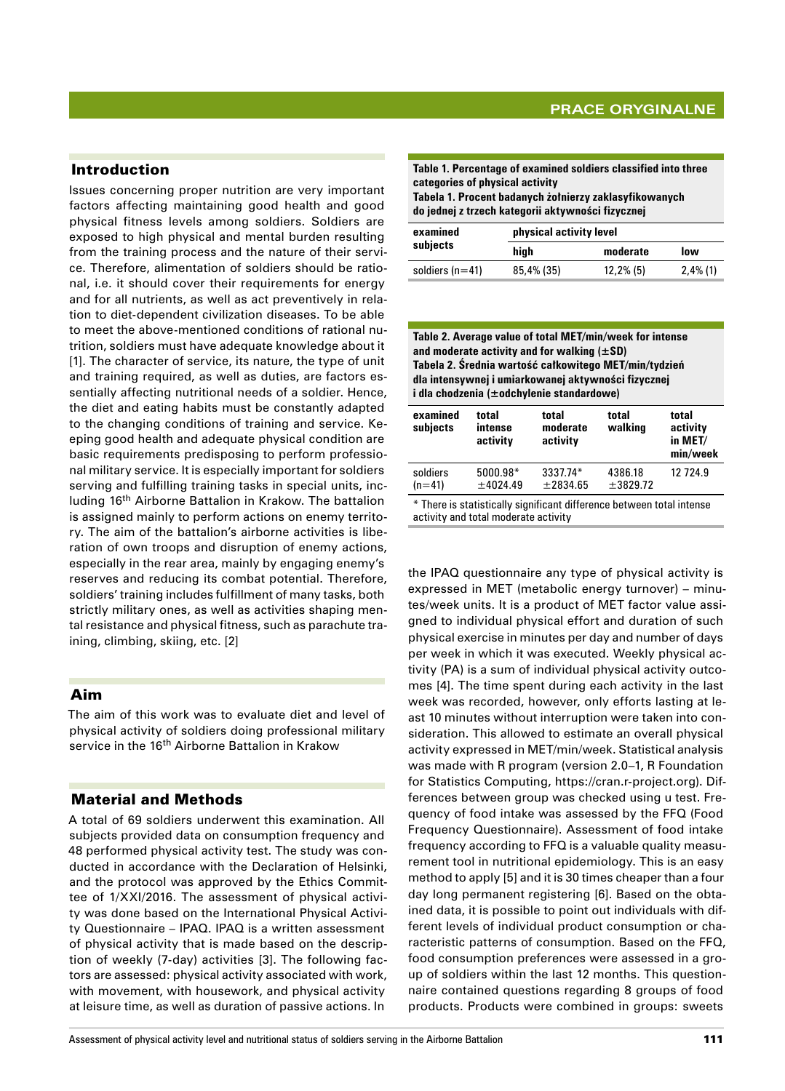# Introduction

Issues concerning proper nutrition are very important factors affecting maintaining good health and good physical fitness levels among soldiers. Soldiers are exposed to high physical and mental burden resulting from the training process and the nature of their service. Therefore, alimentation of soldiers should be rational, i.e. it should cover their requirements for energy and for all nutrients, as well as act preventively in relation to diet‑dependent civilization diseases. To be able to meet the above‑mentioned conditions of rational nutrition, soldiers must have adequate knowledge about it [1]. The character of service, its nature, the type of unit and training required, as well as duties, are factors essentially affecting nutritional needs of a soldier. Hence, the diet and eating habits must be constantly adapted to the changing conditions of training and service. Keeping good health and adequate physical condition are basic requirements predisposing to perform professional military service. It is especially important for soldiers serving and fulfilling training tasks in special units, including 16th Airborne Battalion in Krakow. The battalion is assigned mainly to perform actions on enemy territory. The aim of the battalion's airborne activities is liberation of own troops and disruption of enemy actions, especially in the rear area, mainly by engaging enemy's reserves and reducing its combat potential. Therefore, soldiers' training includes fulfillment of many tasks, both strictly military ones, as well as activities shaping mental resistance and physical fitness, such as parachute training, climbing, skiing, etc. [2]

# Aim

The aim of this work was to evaluate diet and level of physical activity of soldiers doing professional military service in the 16<sup>th</sup> Airborne Battalion in Krakow

# Material and Methods

A total of 69 soldiers underwent this examination. All subjects provided data on consumption frequency and 48 performed physical activity test. The study was conducted in accordance with the Declaration of Helsinki, and the protocol was approved by the Ethics Committee of 1/XXI/2016. The assessment of physical activity was done based on the International Physical Activity Questionnaire – IPAQ. IPAQ is a written assessment of physical activity that is made based on the description of weekly (7‑day) activities [3]. The following factors are assessed: physical activity associated with work, with movement, with housework, and physical activity at leisure time, as well as duration of passive actions. In

**Table 1. Percentage of examined soldiers classified into three categories of physical activity Tabela 1. Procent badanych żołnierzy zaklasyfikowanych do jednej z trzech kategorii aktywności fizycznej**

| examined          | physical activity level |              |             |  |
|-------------------|-------------------------|--------------|-------------|--|
| subjects          | high                    | moderate     | low         |  |
| soldiers $(n=41)$ | 85,4% (35)              | $12,2\%$ (5) | $2,4\%$ (1) |  |

| Table 2. Average value of total MET/min/week for intense |
|----------------------------------------------------------|
| and moderate activity and for walking $(\pm SD)$         |
| Tabela 2. Średnia wartość całkowitego MET/min/tydzień    |
| dla intensywnej i umiarkowanej aktywności fizycznej      |
| i dla chodzenia (±odchylenie standardowe)                |
|                                                          |

| examined<br>subjects                                          | total<br>intense<br>activity | total<br>moderate<br>activity | total<br>walking    | total<br>activity<br>in MET/<br>min/week |
|---------------------------------------------------------------|------------------------------|-------------------------------|---------------------|------------------------------------------|
| soldiers<br>$(n=41)$                                          | $5000.98*$<br>±4024.49       | 3337.74*<br>±2834.65          | 4386.18<br>±3829.72 | 12 7 24.9                                |
| 美 正にしたことにしょうようにはいっけい こうかんばいしゅん はばばったんしょう にっぽんしゅうか えんようしんようかっこ |                              |                               |                     |                                          |

There is statistically significant difference between total intense activity and total moderate activity

the IPAQ questionnaire any type of physical activity is expressed in MET (metabolic energy turnover) – minutes/week units. It is a product of MET factor value assigned to individual physical effort and duration of such physical exercise in minutes per day and number of days per week in which it was executed. Weekly physical activity (PA) is a sum of individual physical activity outcomes [4]. The time spent during each activity in the last week was recorded, however, only efforts lasting at least 10 minutes without interruption were taken into consideration. This allowed to estimate an overall physical activity expressed in MET/min/week. Statistical analysis was made with R program (version 2.0–1, R Foundation for Statistics Computing, https://cran.r‑project.org). Differences between group was checked using u test. Frequency of food intake was assessed by the FFQ (Food Frequency Questionnaire). Assessment of food intake frequency according to FFQ is a valuable quality measurement tool in nutritional epidemiology. This is an easy method to apply [5] and it is 30 times cheaper than a four day long permanent registering [6]. Based on the obtained data, it is possible to point out individuals with different levels of individual product consumption or characteristic patterns of consumption. Based on the FFQ, food consumption preferences were assessed in a group of soldiers within the last 12 months. This questionnaire contained questions regarding 8 groups of food products. Products were combined in groups: sweets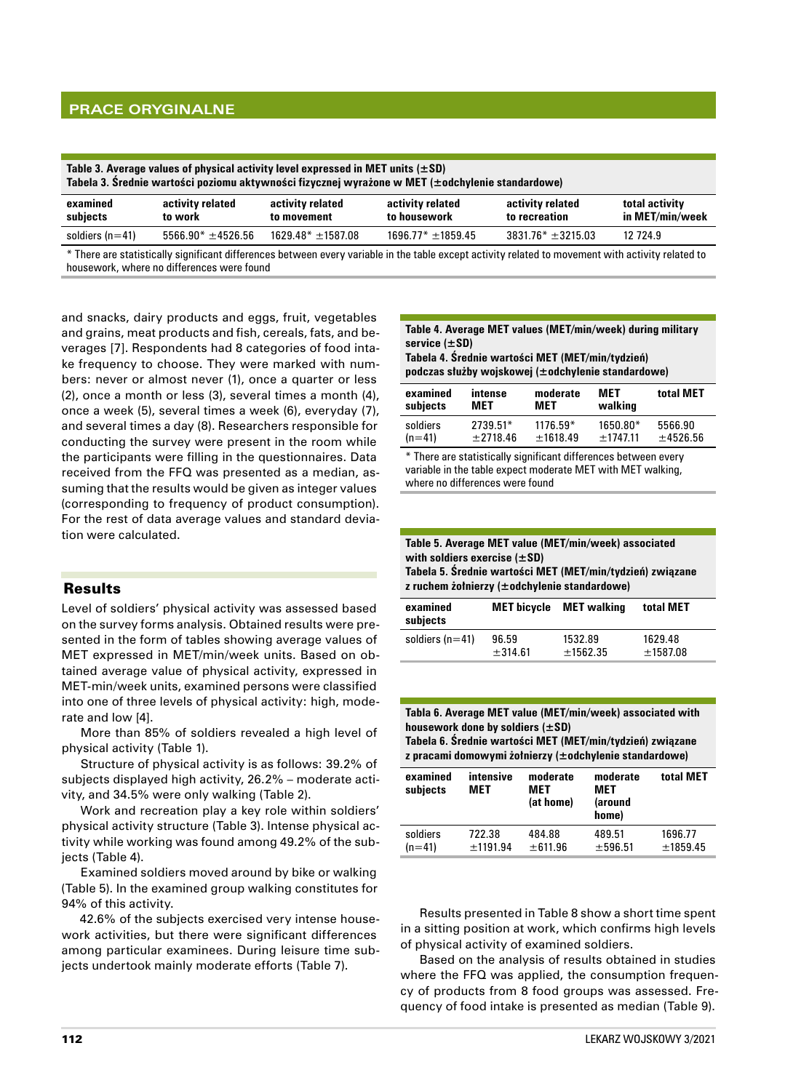# **Prace oryginalne**

| Table 3. Average values of physical activity level expressed in MET units $(\pm SD)$<br>Tabela 3. Średnie wartości poziomu aktywności fizycznej wyrażone w MET (±odchylenie standardowe) |                             |                                 |                                  |                                   |                                   |
|------------------------------------------------------------------------------------------------------------------------------------------------------------------------------------------|-----------------------------|---------------------------------|----------------------------------|-----------------------------------|-----------------------------------|
| examined<br>subjects                                                                                                                                                                     | activity related<br>to work | activity related<br>to movement | activity related<br>to housework | activity related<br>to recreation | total activity<br>in MET/min/week |
| soldiers ( $n=41$ )                                                                                                                                                                      | $5566.90* \pm 4526.56$      | $1629.48* \pm 1587.08$          | $1696.77* \pm 1859.45$           | $3831.76^* \pm 3215.03$           | 12 7 24.9                         |
|                                                                                                                                                                                          |                             |                                 |                                  |                                   |                                   |

\* There are statistically significant differences between every variable in the table except activity related to movement with activity related to housework, where no differences were found

and snacks, dairy products and eggs, fruit, vegetables and grains, meat products and fish, cereals, fats, and beverages [7]. Respondents had 8 categories of food intake frequency to choose. They were marked with numbers: never or almost never (1), once a quarter or less (2), once a month or less (3), several times a month (4), once a week (5), several times a week (6), everyday (7), and several times a day (8). Researchers responsible for conducting the survey were present in the room while the participants were filling in the questionnaires. Data received from the FFQ was presented as a median, assuming that the results would be given as integer values (corresponding to frequency of product consumption). For the rest of data average values and standard deviation were calculated.

# Results

Level of soldiers' physical activity was assessed based on the survey forms analysis. Obtained results were presented in the form of tables showing average values of MET expressed in MET/min/week units. Based on obtained average value of physical activity, expressed in MET‑min/week units, examined persons were classified into one of three levels of physical activity: high, moderate and low [4].

More than 85% of soldiers revealed a high level of physical activity (Table 1).

Structure of physical activity is as follows: 39.2% of subjects displayed high activity, 26.2% – moderate activity, and 34.5% were only walking (Table 2).

Work and recreation play a key role within soldiers' physical activity structure (Table 3). Intense physical activity while working was found among 49.2% of the subjects (Table 4).

Examined soldiers moved around by bike or walking (Table 5). In the examined group walking constitutes for 94% of this activity.

42.6% of the subjects exercised very intense housework activities, but there were significant differences among particular examinees. During leisure time subjects undertook mainly moderate efforts (Table 7).

### **Table 4. Average MET values (MET/min/week) during military service (±SD)**

**Tabela 4. Średnie wartości MET (MET/min/tydzień) podczas służby wojskowej (±odchylenie standardowe)**

| examined | intense  | moderate   | MET        | total MET |
|----------|----------|------------|------------|-----------|
| subjects | MET      | MET        | walking    |           |
| soldiers | 2739.51* | $1176.59*$ | $1650.80*$ | 5566.90   |
| $(n=41)$ | ±2718.46 | ±1618.49   | $+1747.11$ | ±4526.56  |

\* There are statistically significant differences between every variable in the table expect moderate MET with MET walking, where no differences were found

| Table 5. Average MET value (MET/min/week) associated<br>with soldiers exercise $(\pm SD)$<br>Tabela 5. Średnie wartości MET (MET/min/tydzień) związane<br>z ruchem żołnierzy (±odchylenie standardowe) |                    |                       |                       |  |
|--------------------------------------------------------------------------------------------------------------------------------------------------------------------------------------------------------|--------------------|-----------------------|-----------------------|--|
| examined<br><b>MET bicycle</b> MET walking<br>total MET<br>subjects                                                                                                                                    |                    |                       |                       |  |
| soldiers $(n=41)$                                                                                                                                                                                      | 96.59<br>$+314.61$ | 1532.89<br>$+1562.35$ | 1629.48<br>$+1587.08$ |  |

**Tabla 6. Average MET value (MET/min/week) associated with housework done by soldiers (±SD) Tabela 6. Średnie wartości MET (MET/min/tydzień) związane** 

**z pracami domowymi żołnierzy (±odchylenie standardowe)**

| examined<br>subjects | intensive<br>MET | moderate<br>MET<br>(at home) | moderate<br>MET<br>(around<br>home) | total MET |
|----------------------|------------------|------------------------------|-------------------------------------|-----------|
| soldiers             | 722.38           | 484.88                       | 489.51                              | 1696.77   |
| $(n=41)$             | ±1191.94         | ± 611.96                     | ±596.51                             | ±1859.45  |

Results presented in Table 8 show a short time spent in a sitting position at work, which confirms high levels of physical activity of examined soldiers.

Based on the analysis of results obtained in studies where the FFQ was applied, the consumption frequency of products from 8 food groups was assessed. Frequency of food intake is presented as median (Table 9).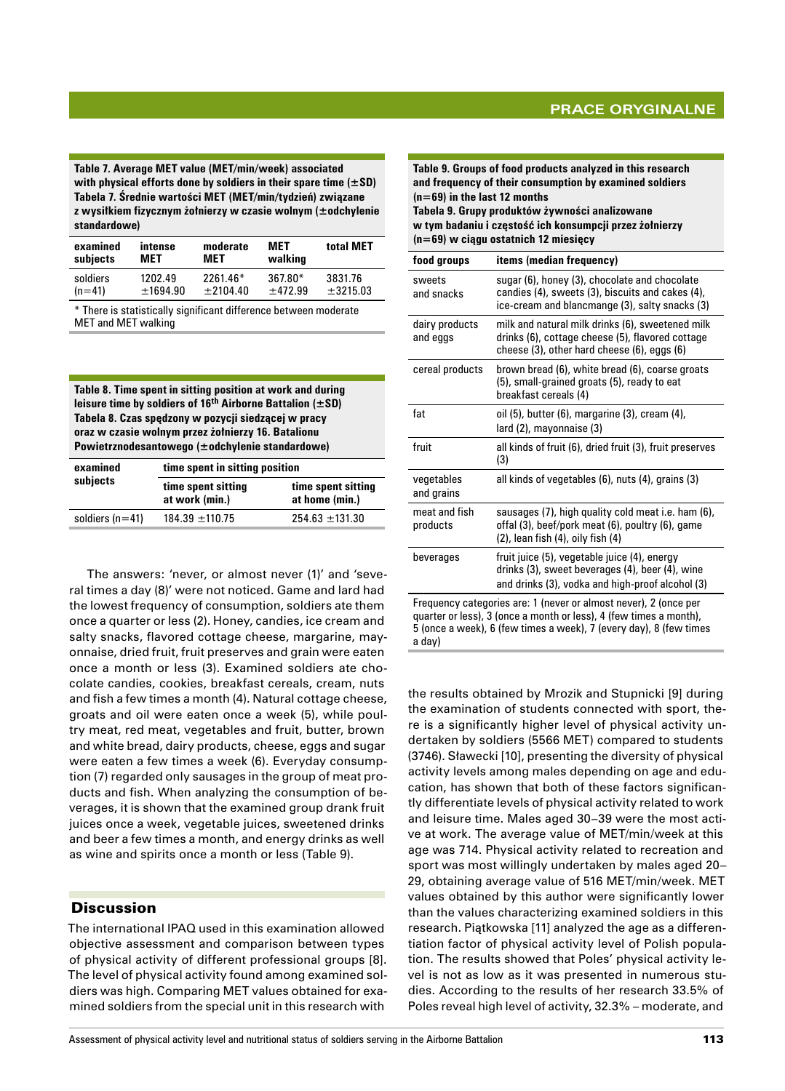**Table 7. Average MET value (MET/min/week) associated with physical efforts done by soldiers in their spare time (±SD) Tabela 7. Średnie wartości MET (MET/min/tydzień) związane z wysiłkiem fizycznym żołnierzy w czasie wolnym (±odchylenie standardowe)**

| examined | intense  | moderate   | MET       | total MET |
|----------|----------|------------|-----------|-----------|
| subjects | MET      | MET        | walking   |           |
| soldiers | 1202.49  | 2261.46*   | $367.80*$ | 3831.76   |
| $(n=41)$ | ±1694.90 | $+2104.40$ | $+472.99$ | ±3215.03  |

\* There is statistically significant difference between moderate MET and MET walking

**Table 8. Time spent in sitting position at work and during leisure time by soldiers of 16th Airborne Battalion (±SD) Tabela 8. Czas spędzony w pozycji siedzącej w pracy oraz w czasie wolnym przez żołnierzy 16. Batalionu Powietrznodesantowego (±odchylenie standardowe)**

| examined<br>subjects | time spent in sitting position       |                                      |  |
|----------------------|--------------------------------------|--------------------------------------|--|
|                      | time spent sitting<br>at work (min.) | time spent sitting<br>at home (min.) |  |
| soldiers $(n=41)$    | $184.39 \pm 110.75$                  | $254.63 \pm 131.30$                  |  |

The answers: 'never, or almost never (1)' and 'several times a day (8)' were not noticed. Game and lard had the lowest frequency of consumption, soldiers ate them once a quarter or less (2). Honey, candies, ice cream and salty snacks, flavored cottage cheese, margarine, mayonnaise, dried fruit, fruit preserves and grain were eaten once a month or less (3). Examined soldiers ate chocolate candies, cookies, breakfast cereals, cream, nuts and fish a few times a month (4). Natural cottage cheese, groats and oil were eaten once a week (5), while poultry meat, red meat, vegetables and fruit, butter, brown and white bread, dairy products, cheese, eggs and sugar were eaten a few times a week (6). Everyday consumption (7) regarded only sausages in the group of meat products and fish. When analyzing the consumption of beverages, it is shown that the examined group drank fruit juices once a week, vegetable juices, sweetened drinks and beer a few times a month, and energy drinks as well as wine and spirits once a month or less (Table 9).

# **Discussion**

The international IPAQ used in this examination allowed objective assessment and comparison between types of physical activity of different professional groups [8]. The level of physical activity found among examined soldiers was high. Comparing MET values obtained for examined soldiers from the special unit in this research with

| Table 9. Groups of food products analyzed in this research<br>and frequency of their consumption by examined soldiers<br>$(n=69)$ in the last 12 months<br>Tabela 9. Grupy produktów żywności analizowane<br>w tym badaniu i częstość ich konsumpcji przez żołnierzy<br>$(n=69)$ w ciagu ostatnich 12 miesiecy |                                                                                                                                                     |  |  |
|----------------------------------------------------------------------------------------------------------------------------------------------------------------------------------------------------------------------------------------------------------------------------------------------------------------|-----------------------------------------------------------------------------------------------------------------------------------------------------|--|--|
| food groups                                                                                                                                                                                                                                                                                                    | items (median frequency)                                                                                                                            |  |  |
| sweets<br>and snacks                                                                                                                                                                                                                                                                                           | sugar (6), honey (3), chocolate and chocolate<br>candies (4), sweets (3), biscuits and cakes (4),<br>ice-cream and blancmange (3), salty snacks (3) |  |  |
| dairy products<br>and eggs                                                                                                                                                                                                                                                                                     | milk and natural milk drinks (6), sweetened milk<br>drinks (6), cottage cheese (5), flavored cottage<br>cheese (3), other hard cheese (6), eggs (6) |  |  |
| cereal products                                                                                                                                                                                                                                                                                                | brown bread (6), white bread (6), coarse groats<br>(5), small-grained groats (5), ready to eat<br>breakfast cereals (4)                             |  |  |
| fat                                                                                                                                                                                                                                                                                                            | oil (5), butter (6), margarine (3), cream (4),<br>lard (2), mayonnaise (3)                                                                          |  |  |
| fruit                                                                                                                                                                                                                                                                                                          | all kinds of fruit (6), dried fruit (3), fruit preserves<br>(3)                                                                                     |  |  |
| vegetables<br>and grains                                                                                                                                                                                                                                                                                       | all kinds of vegetables (6), nuts (4), grains (3)                                                                                                   |  |  |
| meat and fish<br>products                                                                                                                                                                                                                                                                                      | sausages (7), high quality cold meat i.e. ham (6),<br>offal (3), beef/pork meat (6), poultry (6), game<br>$(2)$ , lean fish $(4)$ , oily fish $(4)$ |  |  |
| beverages                                                                                                                                                                                                                                                                                                      | fruit juice (5), vegetable juice (4), energy<br>drinks (3), sweet beverages (4), beer (4), wine<br>and drinks (3), vodka and high-proof alcohol (3) |  |  |
| Frequency categories are: 1 (never or almost never), 2 (once per<br>quarter or less), 3 (once a month or less), 4 (few times a month),<br>5 (once a week), 6 (few times a week), 7 (every day), 8 (few times<br>a day)                                                                                         |                                                                                                                                                     |  |  |

the results obtained by Mrozik and Stupnicki [9] during the examination of students connected with sport, there is a significantly higher level of physical activity undertaken by soldiers (5566 MET) compared to students (3746). Sławecki [10], presenting the diversity of physical activity levels among males depending on age and education, has shown that both of these factors significantly differentiate levels of physical activity related to work and leisure time. Males aged 30–39 were the most active at work. The average value of MET/min/week at this age was 714. Physical activity related to recreation and sport was most willingly undertaken by males aged 20– 29, obtaining average value of 516 MET/min/week. MET values obtained by this author were significantly lower than the values characterizing examined soldiers in this research. Piątkowska [11] analyzed the age as a differentiation factor of physical activity level of Polish population. The results showed that Poles' physical activity level is not as low as it was presented in numerous studies. According to the results of her research 33.5% of Poles reveal high level of activity, 32.3% – moderate, and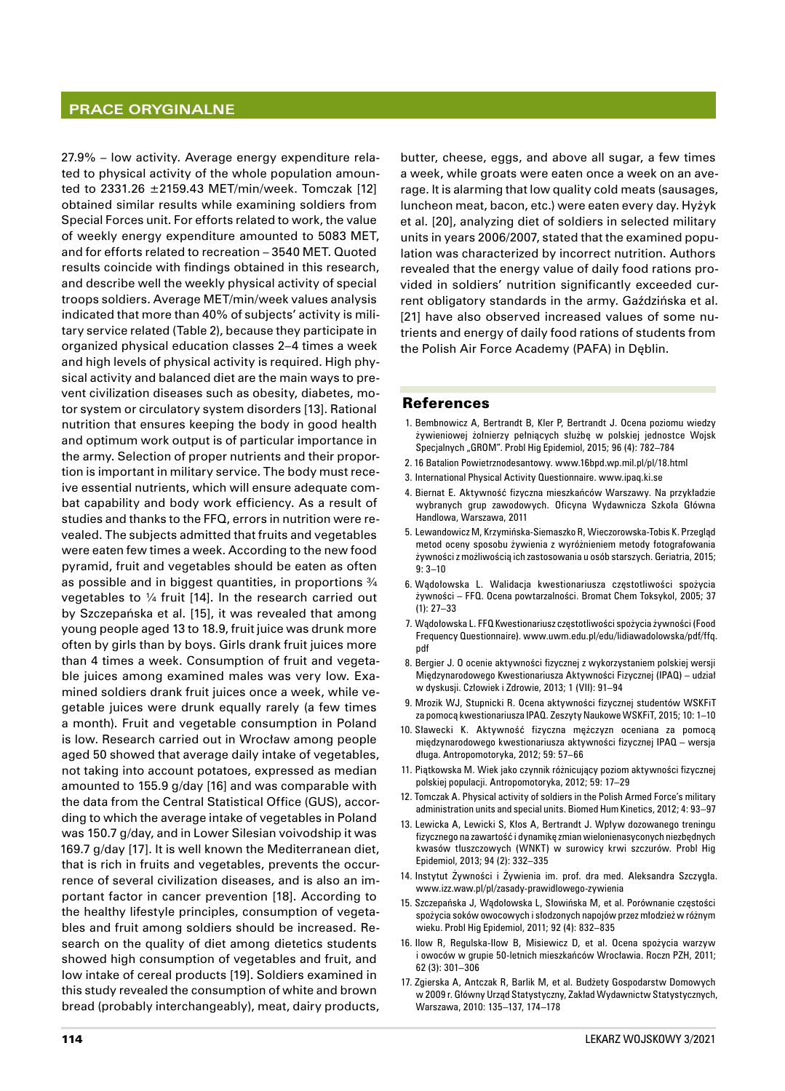## **Prace oryginalne**

27.9% – low activity. Average energy expenditure related to physical activity of the whole population amounted to  $2331.26 \pm 2159.43$  MET/min/week. Tomczak [12] obtained similar results while examining soldiers from Special Forces unit. For efforts related to work, the value of weekly energy expenditure amounted to 5083 MET, and for efforts related to recreation – 3540 MET. Quoted results coincide with findings obtained in this research, and describe well the weekly physical activity of special troops soldiers. Average MET/min/week values analysis indicated that more than 40% of subjects' activity is military service related (Table 2), because they participate in organized physical education classes 2–4 times a week and high levels of physical activity is required. High physical activity and balanced diet are the main ways to prevent civilization diseases such as obesity, diabetes, motor system or circulatory system disorders [13]. Rational nutrition that ensures keeping the body in good health and optimum work output is of particular importance in the army. Selection of proper nutrients and their proportion is important in military service. The body must receive essential nutrients, which will ensure adequate combat capability and body work efficiency. As a result of studies and thanks to the FFQ, errors in nutrition were revealed. The subjects admitted that fruits and vegetables were eaten few times a week. According to the new food pyramid, fruit and vegetables should be eaten as often as possible and in biggest quantities, in proportions ¾ vegetables to ¼ fruit [14]. In the research carried out by Szczepańska et al. [15], it was revealed that among young people aged 13 to 18.9, fruit juice was drunk more often by girls than by boys. Girls drank fruit juices more than 4 times a week. Consumption of fruit and vegetable juices among examined males was very low. Examined soldiers drank fruit juices once a week, while vegetable juices were drunk equally rarely (a few times a month). Fruit and vegetable consumption in Poland is low. Research carried out in Wrocław among people aged 50 showed that average daily intake of vegetables, not taking into account potatoes, expressed as median amounted to 155.9 g/day [16] and was comparable with the data from the Central Statistical Office (GUS), according to which the average intake of vegetables in Poland was 150.7 g/day, and in Lower Silesian voivodship it was 169.7 g/day [17]. It is well known the Mediterranean diet, that is rich in fruits and vegetables, prevents the occurrence of several civilization diseases, and is also an important factor in cancer prevention [18]. According to the healthy lifestyle principles, consumption of vegetables and fruit among soldiers should be increased. Research on the quality of diet among dietetics students showed high consumption of vegetables and fruit, and low intake of cereal products [19]. Soldiers examined in this study revealed the consumption of white and brown bread (probably interchangeably), meat, dairy products,

butter, cheese, eggs, and above all sugar, a few times a week, while groats were eaten once a week on an average. It is alarming that low quality cold meats (sausages, luncheon meat, bacon, etc.) were eaten every day. Hyżyk et al. [20], analyzing diet of soldiers in selected military units in years 2006/2007, stated that the examined population was characterized by incorrect nutrition. Authors revealed that the energy value of daily food rations provided in soldiers' nutrition significantly exceeded current obligatory standards in the army. Gaździńska et al. [21] have also observed increased values of some nutrients and energy of daily food rations of students from the Polish Air Force Academy (PAFA) in Dęblin.

#### References

- 1. Bembnowicz A, Bertrandt B, Kler P, Bertrandt J. Ocena poziomu wiedzy żywieniowej żołnierzy pełniących służbę w polskiej jednostce Wojsk Specjalnych "GROM". Probl Hig Epidemiol, 2015; 96 (4): 782-784
- 2. 16 Batalion Powietrznodesantowy. www.16bpd.wp.mil.pl/pl/18.html
- 3. International Physical Activity Questionnaire. www.ipaq.ki.se
- 4. Biernat E. Aktywność fizyczna mieszkańców Warszawy. Na przykładzie wybranych grup zawodowych. Oficyna Wydawnicza Szkoła Główna Handlowa, Warszawa, 2011
- 5. Lewandowicz M, Krzymińska‑Siemaszko R, Wieczorowska‑Tobis K. Przegląd metod oceny sposobu żywienia z wyróżnieniem metody fotografowania żywności z możliwością ich zastosowania u osób starszych. Geriatria, 2015; 9: 3–10
- 6. Wądołowska L. Walidacja kwestionariusza częstotliwości spożycia żywności – FFQ. Ocena powtarzalności. Bromat Chem Toksykol, 2005; 37 (1): 27–33
- 7. Wądołowska L. FFQ Kwestionariusz częstotliwości spożycia żywności (Food Frequency Questionnaire). www.uwm.edu.pl/edu/lidiawadolowska/pdf/ffq. pdf
- 8. Bergier J. O ocenie aktywności fizycznej z wykorzystaniem polskiej wersji Międzynarodowego Kwestionariusza Aktywności Fizycznej (IPAQ) – udział w dyskusji. Człowiek i Zdrowie, 2013; 1 (VII): 91–94
- 9. Mrozik WJ, Stupnicki R. Ocena aktywności fizycznej studentów WSKFiT za pomocą kwestionariusza IPAQ. Zeszyty Naukowe WSKFiT, 2015; 10: 1–10
- 10. Sławecki K. Aktywność fizyczna mężczyzn oceniana za pomocą międzynarodowego kwestionariusza aktywności fizycznej IPAQ – wersja długa. Antropomotoryka, 2012; 59: 57–66
- 11. Piątkowska M. Wiek jako czynnik różnicujący poziom aktywności fizycznej polskiej populacji. Antropomotoryka, 2012; 59: 17–29
- 12. Tomczak A. Physical activity of soldiers in the Polish Armed Force's military administration units and special units. Biomed Hum Kinetics, 2012; 4: 93–97
- 13. Lewicka A, Lewicki S, Kłos A, Bertrandt J. Wpływ dozowanego treningu fizycznego na zawartość i dynamikę zmian wielonienasyconych niezbędnych kwasów tłuszczowych (WNKT) w surowicy krwi szczurów. Probl Hig Epidemiol, 2013; 94 (2): 332–335
- 14. Instytut Żywności i Żywienia im. prof. dra med. Aleksandra Szczygła. www.izz.waw.pl/pl/zasady‑prawidlowego‑zywienia
- 15. Szczepańska J, Wądołowska L, Słowińska M, et al. Porównanie częstości spożycia soków owocowych i słodzonych napojów przez młodzież w różnym wieku. Probl Hig Epidemiol, 2011; 92 (4): 832–835
- 16. Ilow R, Regulska‑Ilow B, Misiewicz D, et al. Ocena spożycia warzyw i owoców w grupie 50‑letnich mieszkańców Wrocławia. Roczn PZH, 2011; 62 (3): 301–306
- 17. Zgierska A, Antczak R, Barlik M, et al. Budżety Gospodarstw Domowych w 2009 r. Główny Urząd Statystyczny, Zakład Wydawnictw Statystycznych, Warszawa, 2010: 135–137, 174–178